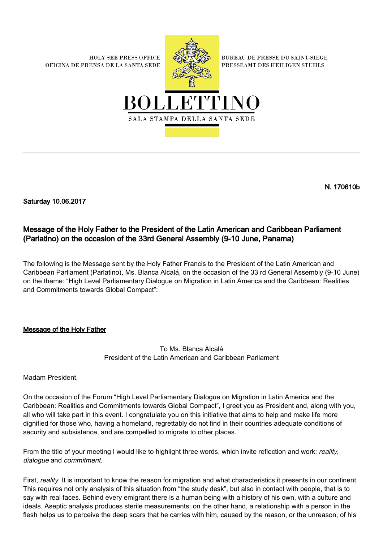**HOLY SEE PRESS OFFICE** OFICINA DE PRENSA DE LA SANTA SEDE



**BUREAU DE PRESSE DU SAINT-SIEGE** PRESSEAMT DES HEILIGEN STUHLS



N. 170610b

Saturday 10.06.2017

## Message of the Holy Father to the President of the Latin American and Caribbean Parliament (Parlatino) on the occasion of the 33rd General Assembly (9-10 June, Panama)

The following is the Message sent by the Holy Father Francis to the President of the Latin American and Caribbean Parliament (Parlatino), Ms. Blanca Alcalá, on the occasion of the 33 rd General Assembly (9-10 June) on the theme: "High Level Parliamentary Dialogue on Migration in Latin America and the Caribbean: Realities and Commitments towards Global Compact":

## Message of the Holy Father

## To Ms. Blanca Alcalá President of the Latin American and Caribbean Parliament

Madam President,

On the occasion of the Forum "High Level Parliamentary Dialogue on Migration in Latin America and the Caribbean: Realities and Commitments towards Global Compact", I greet you as President and, along with you, all who will take part in this event. I congratulate you on this initiative that aims to help and make life more dignified for those who, having a homeland, regrettably do not find in their countries adequate conditions of security and subsistence, and are compelled to migrate to other places.

From the title of your meeting I would like to highlight three words, which invite reflection and work: reality, dialogue and commitment.

First, reality. It is important to know the reason for migration and what characteristics it presents in our continent. This requires not only analysis of this situation from "the study desk", but also in contact with people, that is to say with real faces. Behind every emigrant there is a human being with a history of his own, with a culture and ideals. Aseptic analysis produces sterile measurements; on the other hand, a relationship with a person in the flesh helps us to perceive the deep scars that he carries with him, caused by the reason, or the unreason, of his